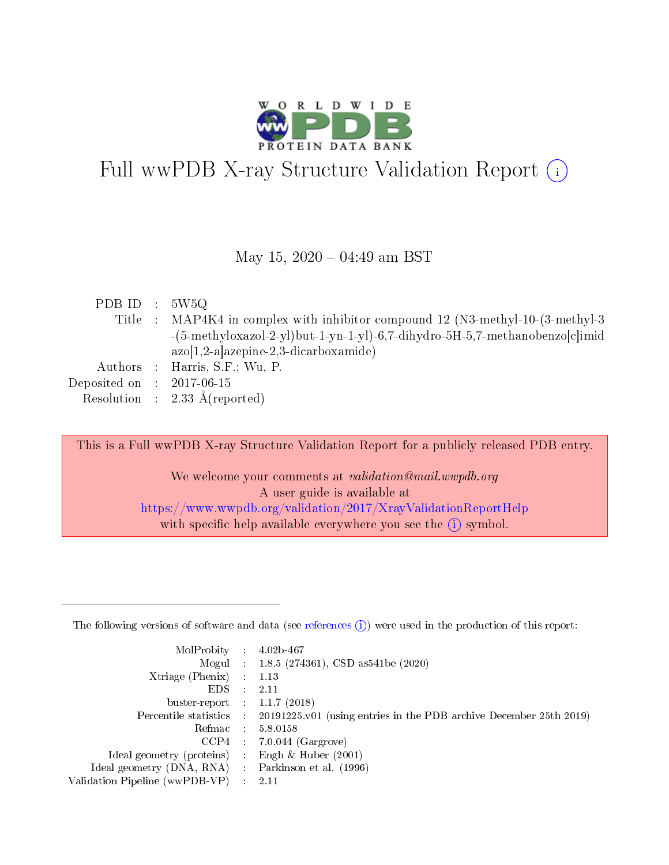

# Full wwPDB X-ray Structure Validation Report  $(i)$

#### May 15,  $2020 - 04:49$  am BST

| Title : MAP4K4 in complex with inhibitor compound 12 (N3-methyl-10-(3-methyl-3)<br>-(5-methyloxazol-2-yl)but-1-yn-1-yl)-6,7-dihydro-5H-5,7-methanobenzo[c]imid |  |
|----------------------------------------------------------------------------------------------------------------------------------------------------------------|--|
|                                                                                                                                                                |  |
|                                                                                                                                                                |  |
| $azo[1,2-a]$ azepine-2,3-dicarboxamide)                                                                                                                        |  |
| Authors : Harris, S.F.; Wu, P.                                                                                                                                 |  |
| Deposited on : $2017-06-15$                                                                                                                                    |  |
| Resolution : $2.33 \text{ Å}$ (reported)                                                                                                                       |  |

This is a Full wwPDB X-ray Structure Validation Report for a publicly released PDB entry. We welcome your comments at validation@mail.wwpdb.org A user guide is available at

<https://www.wwpdb.org/validation/2017/XrayValidationReportHelp> with specific help available everywhere you see the  $(i)$  symbol.

The following versions of software and data (see [references](https://www.wwpdb.org/validation/2017/XrayValidationReportHelp#references)  $(1)$ ) were used in the production of this report:

| MolProbity :                   |               | $4.02b - 467$                                                               |
|--------------------------------|---------------|-----------------------------------------------------------------------------|
|                                |               | Mogul : $1.8.5$ (274361), CSD as 541be (2020)                               |
| Xtriage (Phenix)               | $\mathcal{L}$ | 1.13                                                                        |
| EDS.                           |               | 2.11                                                                        |
| buster-report : $1.1.7$ (2018) |               |                                                                             |
| Percentile statistics :        |               | $20191225 \text{v}01$ (using entries in the PDB archive December 25th 2019) |
| Refmac :                       |               | 5.8.0158                                                                    |
| CCP4                           |               | $7.0.044$ (Gargrove)                                                        |
| Ideal geometry (proteins) :    |               | Engh $\&$ Huber (2001)                                                      |
| Ideal geometry (DNA, RNA) :    |               | Parkinson et al. (1996)                                                     |
| Validation Pipeline (wwPDB-VP) | $\mathcal{L}$ | 2.11                                                                        |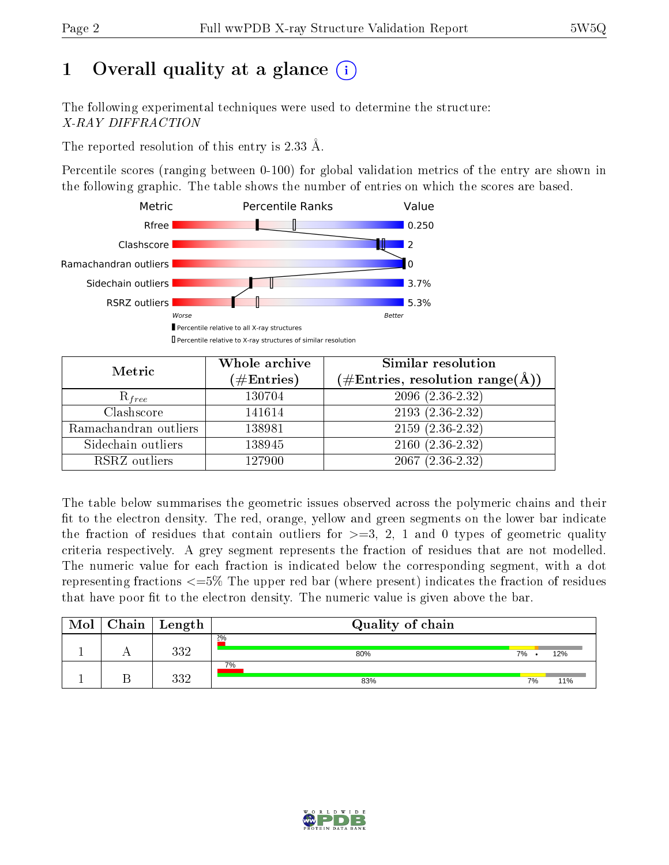## 1 [O](https://www.wwpdb.org/validation/2017/XrayValidationReportHelp#overall_quality)verall quality at a glance  $(i)$

The following experimental techniques were used to determine the structure: X-RAY DIFFRACTION

The reported resolution of this entry is 2.33 Å.

Percentile scores (ranging between 0-100) for global validation metrics of the entry are shown in the following graphic. The table shows the number of entries on which the scores are based.



| Metric                | Whole archive<br>$(\#\text{Entries})$ | Similar resolution<br>$(\#\text{Entries}, \text{resolution range}(\AA))$ |
|-----------------------|---------------------------------------|--------------------------------------------------------------------------|
| $R_{free}$            | 130704                                | $2096(2.36-2.32)$                                                        |
| Clashscore            | 141614                                | $2193(2.36-2.32)$                                                        |
| Ramachandran outliers | 138981                                | $2159(2.36-2.32)$                                                        |
| Sidechain outliers    | 138945                                | $2160(2.36-2.32)$                                                        |
| RSRZ outliers         | 127900                                | $2067(2.36-2.32)$                                                        |

The table below summarises the geometric issues observed across the polymeric chains and their fit to the electron density. The red, orange, yellow and green segments on the lower bar indicate the fraction of residues that contain outliers for  $>=3, 2, 1$  and 0 types of geometric quality criteria respectively. A grey segment represents the fraction of residues that are not modelled. The numeric value for each fraction is indicated below the corresponding segment, with a dot representing fractions  $\epsilon=5\%$  The upper red bar (where present) indicates the fraction of residues that have poor fit to the electron density. The numeric value is given above the bar.

| Mol | Chain <sup>1</sup> | Length | Quality of chain |    |     |
|-----|--------------------|--------|------------------|----|-----|
|     |                    | າາາ    | 2%<br>80%        | 7% | 12% |
|     |                    | າາດ    | 7%<br>83%        | 7% | 11% |

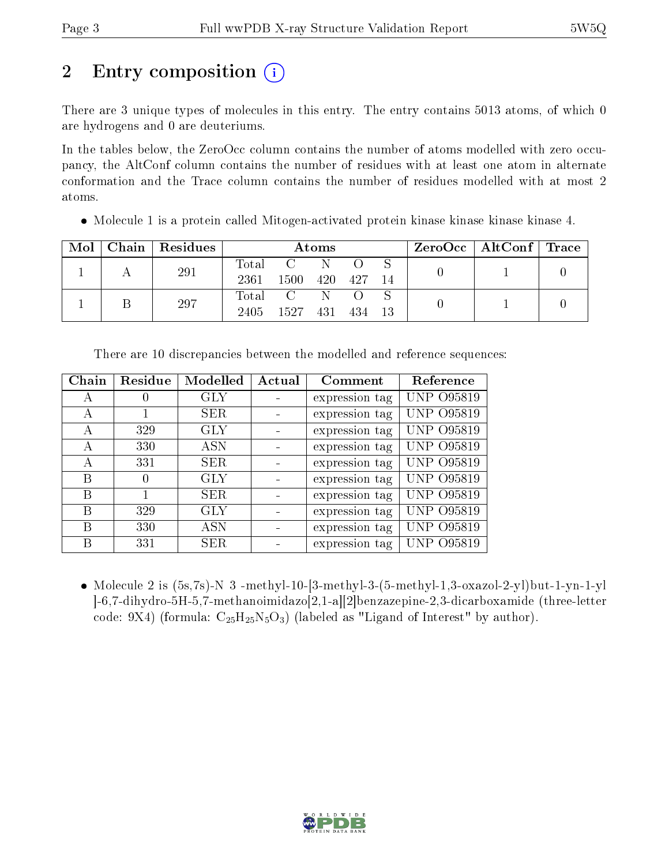# 2 Entry composition (i)

There are 3 unique types of molecules in this entry. The entry contains 5013 atoms, of which 0 are hydrogens and 0 are deuteriums.

In the tables below, the ZeroOcc column contains the number of atoms modelled with zero occupancy, the AltConf column contains the number of residues with at least one atom in alternate conformation and the Trace column contains the number of residues modelled with at most 2 atoms.

|  | Mol   Chain   Residues |  | $\bm{\mathrm{Atoms}}$ |  | $\text{ZeroOcc} \mid \text{AltConf} \mid \text{Trace}$ |  |
|--|------------------------|--|-----------------------|--|--------------------------------------------------------|--|
|  | $\sim$ $\sim$ $\sim$   |  |                       |  |                                                        |  |

Molecule 1 is a protein called Mitogen-activated protein kinase kinase kinase kinase 4.

| Mol |     | Chain   Residues | Atoms       |               |     |      | ZeroOcc   AltConf   Trace |  |  |
|-----|-----|------------------|-------------|---------------|-----|------|---------------------------|--|--|
|     | 291 |                  | $\rm Total$ | $\mathcal{C}$ |     |      |                           |  |  |
|     |     |                  | 2361        | 1500          | 420 | 427  | 14                        |  |  |
|     |     | 297              | Total       | $\mathcal{C}$ |     |      |                           |  |  |
|     |     |                  | 2405        | 1527          | 431 | -434 | 13                        |  |  |

| Chain | Residue          | Modelled   | Actual | Comment        | Reference         |
|-------|------------------|------------|--------|----------------|-------------------|
| А     | $\cup$           | <b>GLY</b> |        | expression tag | <b>UNP 095819</b> |
| А     |                  | <b>SER</b> |        | expression tag | <b>UNP 095819</b> |
| А     | 329              | <b>GLY</b> |        | expression tag | <b>UNP 095819</b> |
| А     | 330              | ASN        |        | expression tag | <b>UNP 095819</b> |
| А     | 331              | <b>SER</b> |        | expression tag | <b>UNP 095819</b> |
| В     | $\left( \right)$ | <b>GLY</b> |        | expression tag | <b>UNP 095819</b> |
| В     |                  | <b>SER</b> |        | expression tag | <b>UNP 095819</b> |
| В     | 329              | <b>GLY</b> |        | expression tag | <b>UNP 095819</b> |
| В     | 330              | <b>ASN</b> |        | expression tag | <b>UNP 095819</b> |
| В     | 331              | <b>SER</b> |        | expression tag | UNP 095819        |

There are 10 discrepancies between the modelled and reference sequences:

 $\bullet$  Molecule 2 is (5s,7s)-N 3 -methyl-10-[3-methyl-3-(5-methyl-1,3-oxazol-2-yl)but-1-yn-1-yl ]-6,7-dihydro-5H-5,7-methanoimidazo[2,1-a][2]benzazepine-2,3-dicarboxamide (three-letter code: 9X4) (formula:  $C_{25}H_{25}N_5O_3$ ) (labeled as "Ligand of Interest" by author).

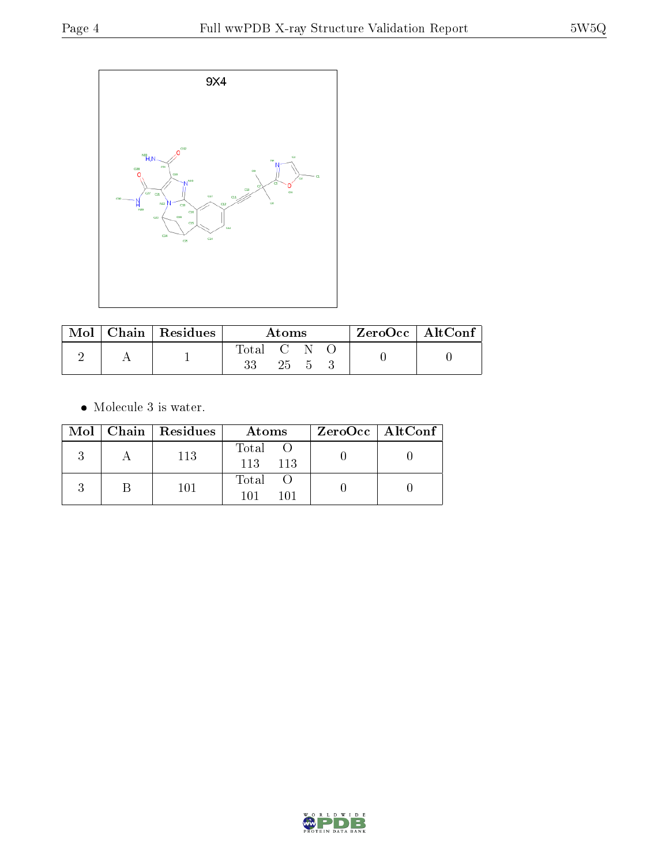

| $\bf{Mol}$ $\parallel$ | $\mid$ Chain $\mid$ Residues | Atoms       |      |  |  | $ZeroOcc \mid AltConf \mid$ |
|------------------------|------------------------------|-------------|------|--|--|-----------------------------|
|                        |                              | Total C N C |      |  |  |                             |
|                        |                              | 33          | 25 5 |  |  |                             |

• Molecule 3 is water.

|  | Mol   Chain   Residues | Atoms                 | $ZeroOcc \   \ AltConf \  $ |
|--|------------------------|-----------------------|-----------------------------|
|  | 113                    | Total O<br>113 113    |                             |
|  | 101                    | Total O<br>101<br>101 |                             |

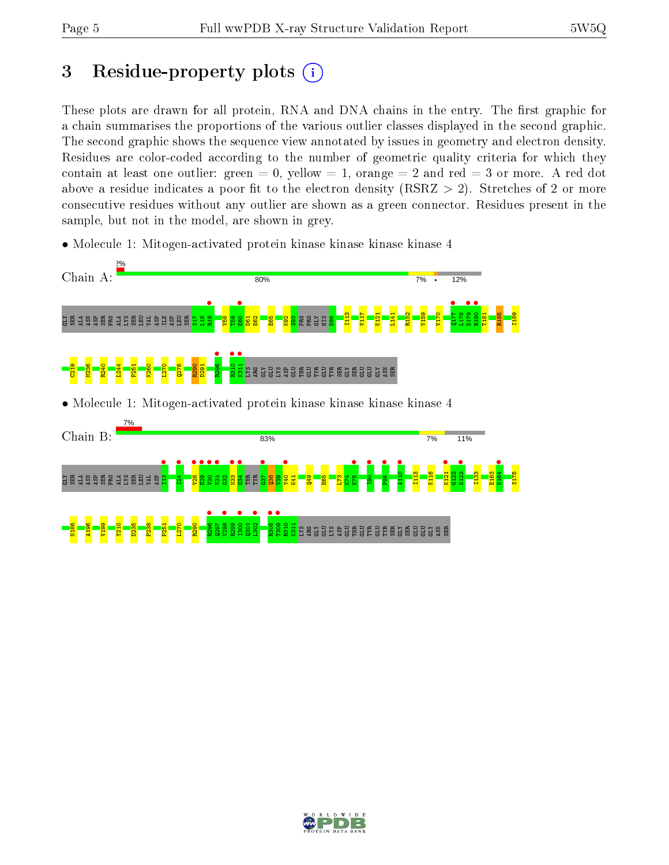## 3 Residue-property plots  $(i)$

These plots are drawn for all protein, RNA and DNA chains in the entry. The first graphic for a chain summarises the proportions of the various outlier classes displayed in the second graphic. The second graphic shows the sequence view annotated by issues in geometry and electron density. Residues are color-coded according to the number of geometric quality criteria for which they contain at least one outlier: green  $= 0$ , yellow  $= 1$ , orange  $= 2$  and red  $= 3$  or more. A red dot above a residue indicates a poor fit to the electron density (RSRZ  $> 2$ ). Stretches of 2 or more consecutive residues without any outlier are shown as a green connector. Residues present in the sample, but not in the model, are shown in grey.

• Molecule 1: Mitogen-activated protein kinase kinase kinase kinase 4



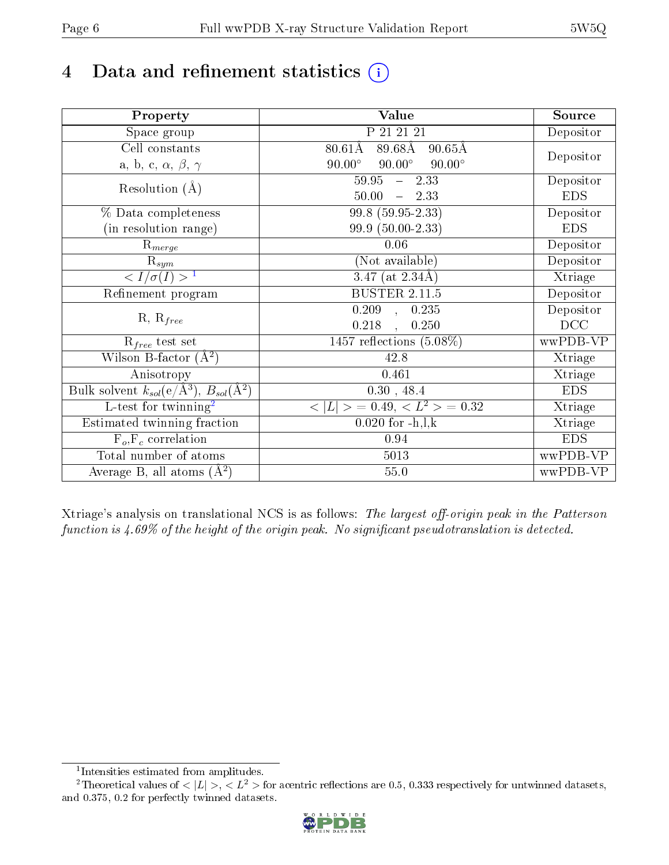# 4 Data and refinement statistics  $(i)$

| Property                                                             | Value                                                       | Source     |
|----------------------------------------------------------------------|-------------------------------------------------------------|------------|
| Space group                                                          | P 21 21 21                                                  | Depositor  |
| Cell constants                                                       | $80.61\text{\AA}$<br>$89.68\text{\AA}$<br>$90.65\text{\AA}$ |            |
| a, b, c, $\alpha$ , $\beta$ , $\gamma$                               | $90.00^\circ$<br>$90.00^\circ$<br>$90.00^\circ$             | Depositor  |
| Resolution $(A)$                                                     | $59.95 - 2.33$                                              | Depositor  |
|                                                                      | 50.00<br>$-2.33$                                            | <b>EDS</b> |
| % Data completeness                                                  | $99.8(59.95-2.33)$                                          | Depositor  |
| (in resolution range)                                                | 99.9 (50.00-2.33)                                           | <b>EDS</b> |
| $\mathrm{R}_{merge}$                                                 | 0.06                                                        | Depositor  |
| $\mathrm{R}_{sym}$                                                   | (Not available)                                             | Depositor  |
| $\sqrt{I/\sigma(I)} > 1$                                             | 3.47 (at $2.34\text{\AA}$ )                                 | Xtriage    |
| Refinement program                                                   | <b>BUSTER 2.11.5</b>                                        | Depositor  |
|                                                                      | $\overline{0.209}$ ,<br>0.235                               | Depositor  |
| $R, R_{free}$                                                        | 0.218<br>0.250<br>$\mathbf{A}$                              | DCC        |
| $R_{free}$ test set                                                  | 1457 reflections $(5.08\%)$                                 | wwPDB-VP   |
| Wilson B-factor $(A^2)$                                              | 42.8                                                        | Xtriage    |
| Anisotropy                                                           | 0.461                                                       | Xtriage    |
| Bulk solvent $k_{sol}(e/\mathring{A}^3)$ , $B_{sol}(\mathring{A}^2)$ | 0.30, 48.4                                                  | <b>EDS</b> |
| $\overline{L-test for}$ twinning <sup>2</sup>                        | $< L >$ = 0.49, $< L^2 >$ = 0.32                            | Xtriage    |
| Estimated twinning fraction                                          | $0.020$ for $-h, l, k$                                      | Xtriage    |
| $F_o, F_c$ correlation                                               | 0.94                                                        | <b>EDS</b> |
| Total number of atoms                                                | 5013                                                        | wwPDB-VP   |
| Average B, all atoms $(A^2)$                                         | 55.0                                                        | wwPDB-VP   |

Xtriage's analysis on translational NCS is as follows: The largest off-origin peak in the Patterson function is  $4.69\%$  of the height of the origin peak. No significant pseudotranslation is detected.

<sup>&</sup>lt;sup>2</sup>Theoretical values of  $\langle |L| \rangle$ ,  $\langle L^2 \rangle$  for acentric reflections are 0.5, 0.333 respectively for untwinned datasets, and 0.375, 0.2 for perfectly twinned datasets.



<span id="page-5-1"></span><span id="page-5-0"></span><sup>1</sup> Intensities estimated from amplitudes.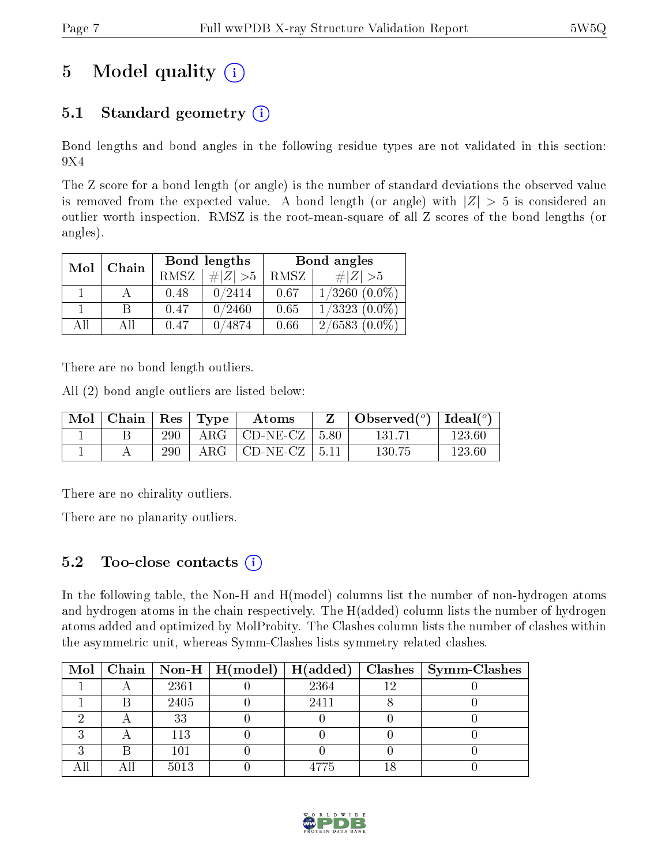# 5 Model quality  $(i)$

### 5.1 Standard geometry  $(i)$

Bond lengths and bond angles in the following residue types are not validated in this section: 9X4

The Z score for a bond length (or angle) is the number of standard deviations the observed value is removed from the expected value. A bond length (or angle) with  $|Z| > 5$  is considered an outlier worth inspection. RMSZ is the root-mean-square of all Z scores of the bond lengths (or angles).

| Mol | Chain |             | Bond lengths | Bond angles |                    |  |
|-----|-------|-------------|--------------|-------------|--------------------|--|
|     |       | <b>RMSZ</b> | $\ Z\  > 5$  | RMSZ        | # $ Z  > 5$        |  |
|     |       | 0.48        | 0/2414       | 0.67        | $1/3260$ $(0.0\%)$ |  |
|     | B     | 0.47        | 0/2460       | 0.65        | $1/3323$ $(0.0\%)$ |  |
| AĦ  | АH    | 0.47        | 0/4874       | 0.66        | $2/6583(0.0\%)$    |  |

There are no bond length outliers.

All (2) bond angle outliers are listed below:

| Mol | $\mid$ Chain $\mid$ Res $\mid$ Type $\mid$ |     | Atoms                    | $\mid$ Observed $({}^o)$ $\mid$ Ideal $({}^o)$ |        |
|-----|--------------------------------------------|-----|--------------------------|------------------------------------------------|--------|
|     |                                            | 290 | $ARG$   CD-NE-CZ   5.80  | 131 71                                         | 123.60 |
|     |                                            | 290 | $ARG   CD-NE- CZ   5.11$ | 130.75                                         | 123.60 |

There are no chirality outliers.

There are no planarity outliers.

### 5.2 Too-close contacts  $\overline{a}$

In the following table, the Non-H and H(model) columns list the number of non-hydrogen atoms and hydrogen atoms in the chain respectively. The H(added) column lists the number of hydrogen atoms added and optimized by MolProbity. The Clashes column lists the number of clashes within the asymmetric unit, whereas Symm-Clashes lists symmetry related clashes.

|  |      |      | Mol   Chain   Non-H   H(model)   H(added)   Clashes   Symm-Clashes |
|--|------|------|--------------------------------------------------------------------|
|  | 2361 | 2364 |                                                                    |
|  | 2405 | 2411 |                                                                    |
|  | 33   |      |                                                                    |
|  | 113  |      |                                                                    |
|  | 101  |      |                                                                    |
|  | 5013 | 4775 |                                                                    |

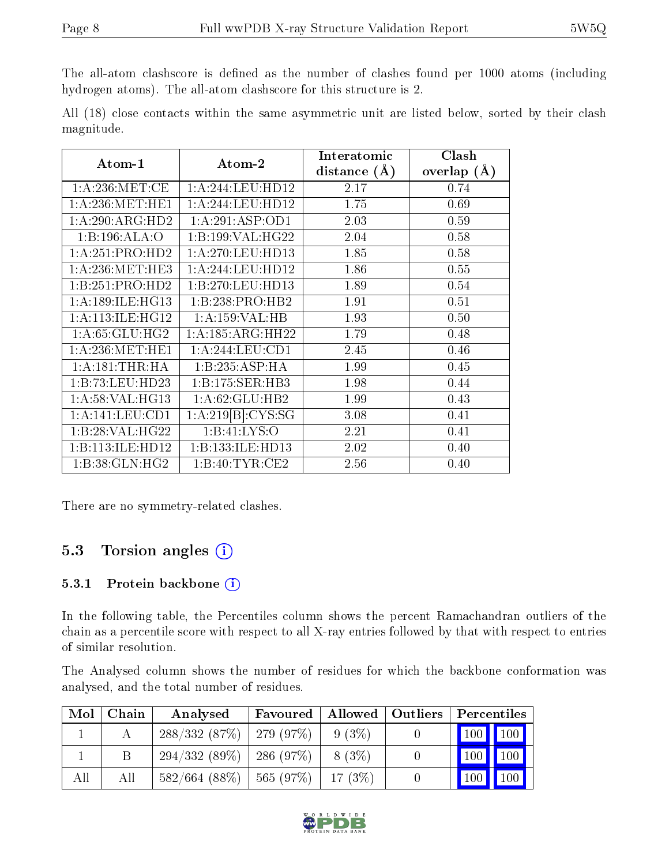The all-atom clashscore is defined as the number of clashes found per 1000 atoms (including hydrogen atoms). The all-atom clashscore for this structure is 2.

All (18) close contacts within the same asymmetric unit are listed below, sorted by their clash magnitude.

| Atom-1              | Atom-2            | Interatomic    | Clash           |
|---------------------|-------------------|----------------|-----------------|
|                     |                   | distance $(A)$ | overlap $(\AA)$ |
| 1: A:236: MET:CE    | 1:A:244:LEU:HD12  | 2.17           | 0.74            |
| 1: A:236:MET:HE1    | 1:A:244:LEU:HD12  | 1.75           | 0.69            |
| 1:A:290:ARG:HD2     | 1:A:291:ASP:OD1   | 2.03           | 0.59            |
| 1:B:196:ALA:O       | 1:B:199:VAL:HG22  | 2.04           | 0.58            |
| 1:A:251:PRO:HD2     | 1: A:270:LEU:HD13 | 1.85           | 0.58            |
| 1: A:236: MET:HE3   | 1:A:244:LEU:HD12  | 1.86           | 0.55            |
| 1:B:251:PRO:HD2     | 1:B:270:LEU:HD13  | 1.89           | 0.54            |
| 1: A:189: ILE: HG13 | 1:B:238:PRO:HB2   | 1.91           | 0.51            |
| 1: A:113: ILE: HG12 | 1:A:159:VAL:HB    | 1.93           | 0.50            |
| 1: A:65: GLU:HG2    | 1:A:185:ARG:HH22  | 1.79           | 0.48            |
| 1: A:236: MET:HE1   | 1:A:244:LEU:CD1   | 2.45           | 0.46            |
| 1: A:181:THR:HA     | 1:B:235:ASP:HA    | 1.99           | 0.45            |
| 1:B:73:LEU:HD23     | 1:B:175:SER:HB3   | 1.98           | 0.44            |
| 1: A:58: VAL:HG13   | 1:A:62:GLU:HB2    | 1.99           | 0.43            |
| 1:A:141:LEU:CD1     | 1:A:219[B]:CYS:SG | 3.08           | 0.41            |
| 1:B:28:VAL:HG22     | 1:Bi:41:LYS:O     | 2.21           | 0.41            |
| 1:B:113:ILE:HD12    | 1:B:133:ILE:HD13  | 2.02           | 0.40            |
| 1:B:38:GLN:HG2      | 1: B:40: TYR:CE2  | 2.56           | 0.40            |

There are no symmetry-related clashes.

### 5.3 Torsion angles  $(i)$

#### 5.3.1 Protein backbone (i)

In the following table, the Percentiles column shows the percent Ramachandran outliers of the chain as a percentile score with respect to all X-ray entries followed by that with respect to entries of similar resolution.

The Analysed column shows the number of residues for which the backbone conformation was analysed, and the total number of residues.

| Mol | Chain | Analysed                              | Favoured |        | Allowed   Outliers | $\overline{\phantom{a}}$ Percentiles |                    |
|-----|-------|---------------------------------------|----------|--------|--------------------|--------------------------------------|--------------------|
|     |       | $288/332(87\%)$   279 (97\%)          |          | 9(3%)  |                    | $\boxed{100}$ $\boxed{100}$          |                    |
|     |       | $294/332(89\%)$   286 (97\%)          |          | 8 (3%) |                    | 100 100                              |                    |
| All | All   | $582/664$ (88%)   565 (97%)   17 (3%) |          |        |                    | 100                                  | $\blacksquare$ 100 |

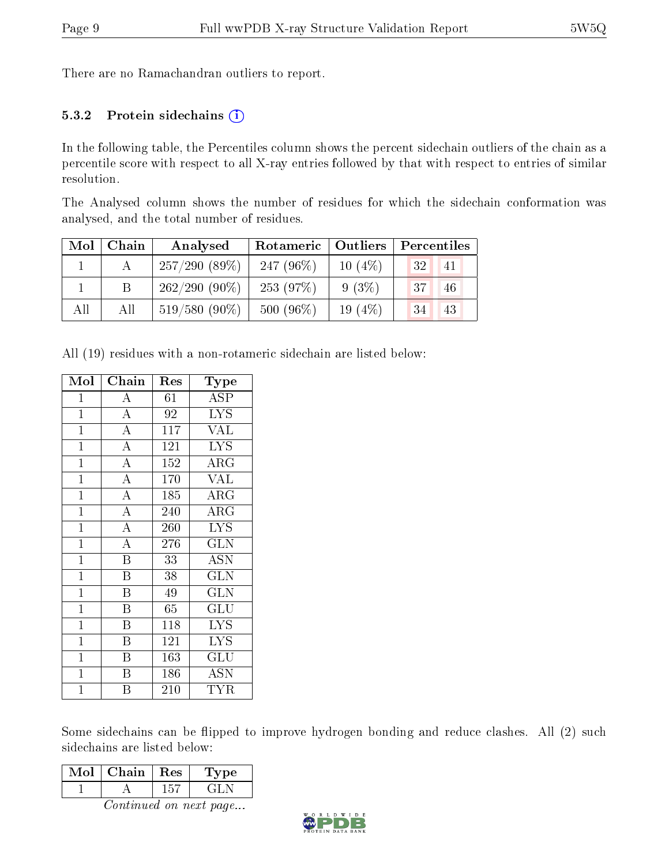There are no Ramachandran outliers to report.

#### 5.3.2 Protein sidechains  $(i)$

In the following table, the Percentiles column shows the percent sidechain outliers of the chain as a percentile score with respect to all X-ray entries followed by that with respect to entries of similar resolution.

The Analysed column shows the number of residues for which the sidechain conformation was analysed, and the total number of residues.

| Mol | Chain | Analysed        | Rotameric   Outliers |           | Percentiles |
|-----|-------|-----------------|----------------------|-----------|-------------|
|     |       | 257/290(89%)    | 247 $(96\%)$         | $10(4\%)$ | 32 <br>41   |
|     | B     | $262/290(90\%)$ | 253 $(97%)$          | $9(3\%)$  | 37<br>46    |
| All | All   | $519/580(90\%)$ | $500(96\%)$          | 19(4%)    | 34<br>43    |

All (19) residues with a non-rotameric sidechain are listed below:

| Mol            | Chain                   | $\operatorname{Res}% \left( \mathcal{N}\right) \equiv\operatorname{Res}(\mathcal{N}_{0})\left( \mathcal{N}_{0}\right) ^{2}$ | Type                    |
|----------------|-------------------------|-----------------------------------------------------------------------------------------------------------------------------|-------------------------|
| $\overline{1}$ | $\overline{\rm A}$      | 61                                                                                                                          | ASP                     |
| $\mathbf{1}$   | $\overline{\rm A}$      | 92                                                                                                                          | <b>LYS</b>              |
| $\overline{1}$ | $\overline{A}$          | $\bar{1}17$                                                                                                                 | $\overline{\text{VAL}}$ |
| $\mathbf{1}$   | $\overline{A}$          | 121                                                                                                                         | <b>LYS</b>              |
| $\overline{1}$ | $\overline{A}$          | 152                                                                                                                         | $\rm{ARG}$              |
| $\overline{1}$ | $\overline{A}$          | 170                                                                                                                         | <b>VAL</b>              |
| $\mathbf{1}$   | $\overline{A}$          | 185                                                                                                                         | $\rm{ARG}$              |
| $\overline{1}$ | $\overline{A}$          | 240                                                                                                                         | $\rm{ARG}$              |
| $\mathbf{1}$   | $\overline{\rm A}$      | 260                                                                                                                         | <b>LYS</b>              |
| $\mathbf{1}$   | $\overline{\rm A}$      | 276                                                                                                                         | <b>GLN</b>              |
| $\mathbf{1}$   | Β                       | 33                                                                                                                          | <b>ASN</b>              |
| $\mathbf{1}$   | $\overline{\mathrm{B}}$ | 38                                                                                                                          | <b>GLN</b>              |
| $\overline{1}$ | $\overline{\mathrm{B}}$ | 49                                                                                                                          | $\overline{\text{GLN}}$ |
| $\mathbf{1}$   | $\overline{\mathrm{B}}$ | 65                                                                                                                          | GLU                     |
| $\mathbf{1}$   | $\overline{\mathrm{B}}$ | 118                                                                                                                         | <b>LYS</b>              |
| $\mathbf{1}$   | $\overline{\mathrm{B}}$ | 121                                                                                                                         | <b>LYS</b>              |
| $\mathbf{1}$   | $\overline{B}$          | 163                                                                                                                         | GLU                     |
| $\mathbf{1}$   | Β                       | 186                                                                                                                         | <b>ASN</b>              |
| $\mathbf 1$    | Β                       | 210                                                                                                                         | TYR                     |

Some sidechains can be flipped to improve hydrogen bonding and reduce clashes. All (2) such sidechains are listed below:

| Mol | Chain | $\perp$ Res | ype |
|-----|-------|-------------|-----|
|     |       |             |     |

Continued on next page...

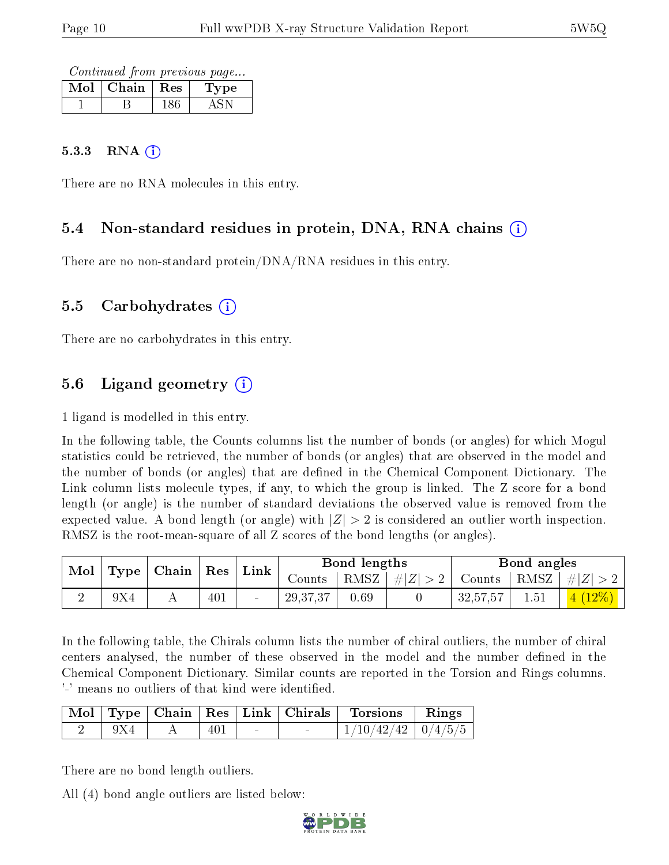Continued from previous page...

| Mol | Chain | $\parallel$ Res | t vpe |
|-----|-------|-----------------|-------|
|     |       |                 |       |

#### $5.3.3$  RNA  $(i)$

There are no RNA molecules in this entry.

#### 5.4 Non-standard residues in protein, DNA, RNA chains (i)

There are no non-standard protein/DNA/RNA residues in this entry.

#### 5.5 Carbohydrates (i)

There are no carbohydrates in this entry.

### 5.6 Ligand geometry  $(i)$

1 ligand is modelled in this entry.

In the following table, the Counts columns list the number of bonds (or angles) for which Mogul statistics could be retrieved, the number of bonds (or angles) that are observed in the model and the number of bonds (or angles) that are defined in the Chemical Component Dictionary. The Link column lists molecule types, if any, to which the group is linked. The Z score for a bond length (or angle) is the number of standard deviations the observed value is removed from the expected value. A bond length (or angle) with  $|Z| > 2$  is considered an outlier worth inspection. RMSZ is the root-mean-square of all Z scores of the bond lengths (or angles).

| Type   Chain   Res   Link<br>Mol |     | Bond lengths |            |      | Bond angles                            |          |  |                                                        |
|----------------------------------|-----|--------------|------------|------|----------------------------------------|----------|--|--------------------------------------------------------|
|                                  |     |              |            |      | Counts   RMSZ $\vert \#  Z  > 2 \vert$ |          |  | $\vert$ Counts $\vert$ RMSZ $\vert \#  Z  > 2$ $\vert$ |
|                                  | 9X4 | 401          | 29, 37, 37 | 0.69 |                                        | 32,57,57 |  | $\mid 4 \ (12\%) \mid \mid$                            |

In the following table, the Chirals column lists the number of chiral outliers, the number of chiral centers analysed, the number of these observed in the model and the number defined in the Chemical Component Dictionary. Similar counts are reported in the Torsion and Rings columns. '-' means no outliers of that kind were identified.

|  |     |  | Mol   Type   Chain   Res   Link   Chirals   Torsions   Rings |  |
|--|-----|--|--------------------------------------------------------------|--|
|  | 401 |  | $1/10/42/42$   $0/4/5/5$                                     |  |

There are no bond length outliers.

All (4) bond angle outliers are listed below:

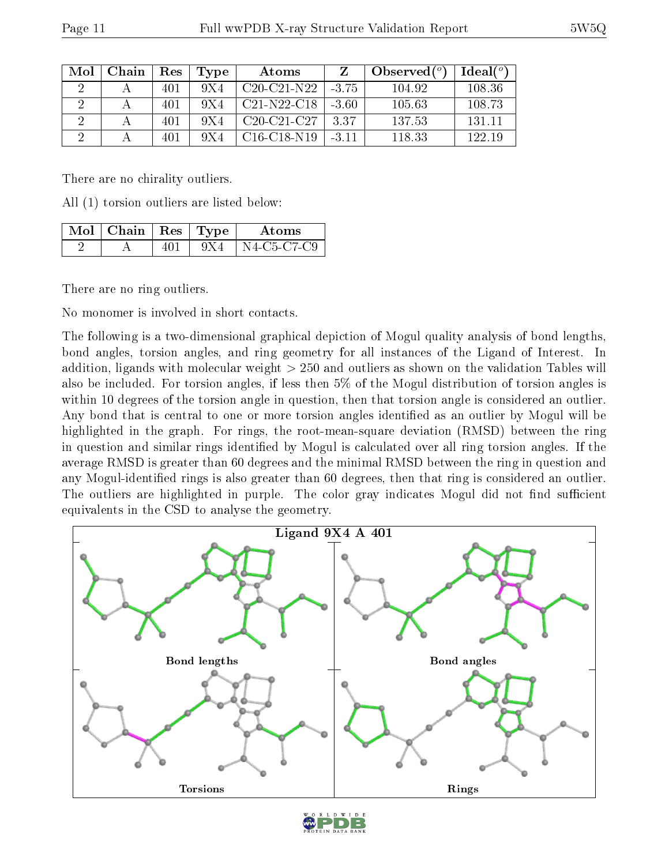| Mol | Chain | Res | Type  | Atoms         |         | Observed $(°)$ | Ideal $(^\circ)$ |
|-----|-------|-----|-------|---------------|---------|----------------|------------------|
|     |       | 401 | 9 X 4 | $C20-C21-N22$ | -375    | 104.92         | 108.36           |
|     |       | 401 | 9X4   | $C21-N22-C18$ | $-3.60$ | 105.63         | 108.73           |
|     |       | 401 | 9X4   | $C20-C21-C27$ | 3.37    | 137.53         | 131 11           |
|     |       | 401 | 9X4   | $C16-C18-N19$ | $-3.11$ | 118.33         | 122.19           |

There are no chirality outliers.

All (1) torsion outliers are listed below:

| $\sqrt{\mathrm{Mol}}$   Chain   Res   Type |       | Atoms               |
|--------------------------------------------|-------|---------------------|
|                                            | 9 X 4 | $\perp$ N4-C5-C7-C9 |

There are no ring outliers.

No monomer is involved in short contacts.

The following is a two-dimensional graphical depiction of Mogul quality analysis of bond lengths, bond angles, torsion angles, and ring geometry for all instances of the Ligand of Interest. In addition, ligands with molecular weight > 250 and outliers as shown on the validation Tables will also be included. For torsion angles, if less then 5% of the Mogul distribution of torsion angles is within 10 degrees of the torsion angle in question, then that torsion angle is considered an outlier. Any bond that is central to one or more torsion angles identified as an outlier by Mogul will be highlighted in the graph. For rings, the root-mean-square deviation (RMSD) between the ring in question and similar rings identified by Mogul is calculated over all ring torsion angles. If the average RMSD is greater than 60 degrees and the minimal RMSD between the ring in question and any Mogul-identied rings is also greater than 60 degrees, then that ring is considered an outlier. The outliers are highlighted in purple. The color gray indicates Mogul did not find sufficient equivalents in the CSD to analyse the geometry.



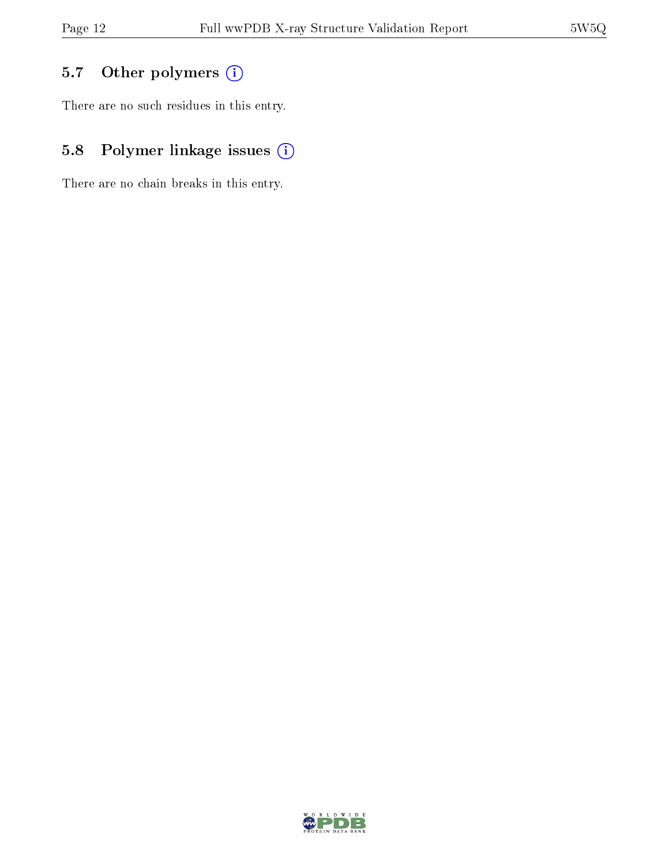## 5.7 [O](https://www.wwpdb.org/validation/2017/XrayValidationReportHelp#nonstandard_residues_and_ligands)ther polymers (i)

There are no such residues in this entry.

## 5.8 Polymer linkage issues (i)

There are no chain breaks in this entry.

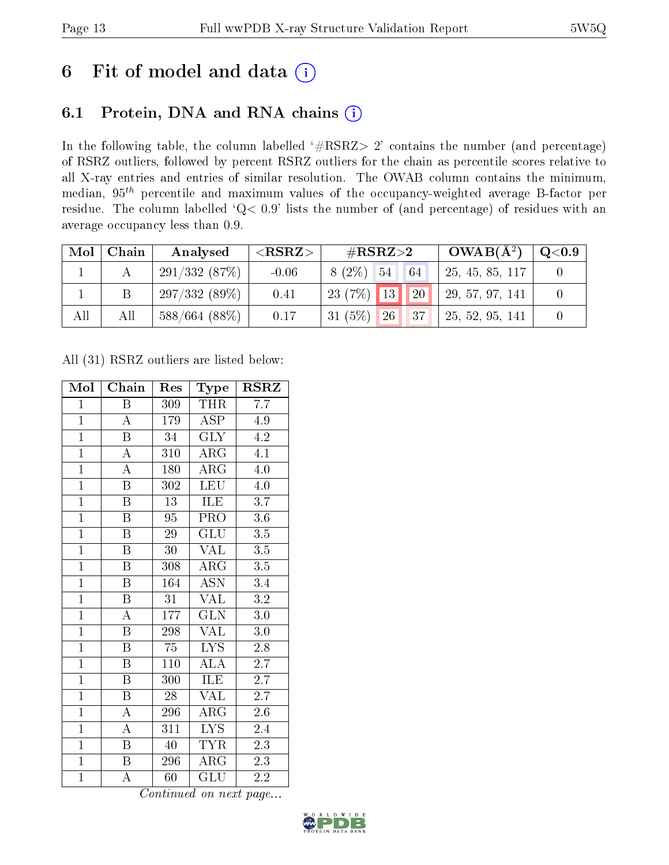## 6 Fit of model and data  $(i)$

### 6.1 Protein, DNA and RNA chains  $(i)$

In the following table, the column labelled  $#RSRZ> 2'$  contains the number (and percentage) of RSRZ outliers, followed by percent RSRZ outliers for the chain as percentile scores relative to all X-ray entries and entries of similar resolution. The OWAB column contains the minimum, median,  $95<sup>th</sup>$  percentile and maximum values of the occupancy-weighted average B-factor per residue. The column labelled ' $Q< 0.9$ ' lists the number of (and percentage) of residues with an average occupancy less than 0.9.

| Mol | Chain | Analysed         | $<$ RSRZ $>$ | $\#\text{RSRZ}\text{>2}$                        | $OWAB(A^2)$        | $\rm Q\textcolor{black}{<}0.9$ |
|-----|-------|------------------|--------------|-------------------------------------------------|--------------------|--------------------------------|
|     |       | 291/332(87%)     | $-0.06$      | $8(2\%)$ 54 64                                  | 25, 45, 85, 117    |                                |
|     |       | 297/332(89%)     | 0.41         | 20 <br>$123(7\%)$ 13                            | 29, 57, 97, 141    |                                |
| All | All   | $588/664$ (88\%) | 0.17         | $31(5\%)$<br>$\mathbb{I}37.$<br>26 <sub>l</sub> | $+25, 52, 95, 141$ |                                |

All (31) RSRZ outliers are listed below:

| Mol            | Chain                   | Res              | Type                      | $\rm RSRZ$       |  |
|----------------|-------------------------|------------------|---------------------------|------------------|--|
| $\mathbf{1}$   | Β                       | 309              | <b>THR</b>                | 7.7              |  |
| $\overline{1}$ | $\boldsymbol{A}$        | 179              | ASP                       | 4.9              |  |
| $\overline{1}$ | $\overline{\mathrm{B}}$ | 34               | $\overline{\text{GLY}}$   | 4.2              |  |
| $\overline{1}$ | $\boldsymbol{A}$        | 310              | $\rm{ARG}$                | 4.1              |  |
| $\overline{1}$ | $\overline{\rm A}$      | 180              | $\overline{\rm{ARG}}$     | 4.0              |  |
| $\overline{1}$ | $\boldsymbol{B}$        | 302              | <b>LEU</b>                | $4.0\,$          |  |
| $\overline{1}$ | B                       | $13\,$           | ILE                       | $\overline{3.7}$ |  |
| $\overline{1}$ | $\overline{\mathbf{B}}$ | 95               | PRO                       | 3.6              |  |
| $\overline{1}$ | $\overline{B}$          | 29               | GLU                       | 3.5              |  |
| $\overline{1}$ | $\overline{\mathrm{B}}$ | 30               | <b>VAL</b>                | $\overline{3.5}$ |  |
| $\overline{1}$ | $\overline{\mathrm{B}}$ | 308              | $\rm{ARG}$                | $\overline{3.5}$ |  |
| $\overline{1}$ | $\overline{\mathrm{B}}$ | 164              | $\overline{\mathrm{ASN}}$ | 3.4              |  |
| $\overline{1}$ | $\overline{\mathrm{B}}$ | 31               | VAL                       | 3.2              |  |
| $\overline{1}$ | $\overline{\rm A}$      | $\overline{1}77$ | $\overline{\text{GLN}}$   | $3.0\,$          |  |
| $\overline{1}$ | $\overline{\mathrm{B}}$ | 298              | <b>VAL</b>                | $\overline{3.0}$ |  |
| $\mathbf{1}$   | $\boldsymbol{B}$        | 75               | $\overline{\text{LYS}}$   | $2.\overline{8}$ |  |
| $\overline{1}$ | $\overline{\mathrm{B}}$ | 110              | $\overline{\rm ALA}$      | $\overline{2.7}$ |  |
| $\overline{1}$ | B                       | 300              | ILE                       | $\overline{2.7}$ |  |
| $\overline{1}$ | $\overline{\mathrm{B}}$ | 28               | <b>VAL</b>                | $\overline{2.7}$ |  |
| $\overline{1}$ | A                       | 296              | $AR\overline{G}$          | $2.6\,$          |  |
| $\overline{1}$ | $\boldsymbol{A}$        | 311              | <b>LYS</b>                | 2.4              |  |
| $\overline{1}$ | $\overline{\mathrm{B}}$ | 40               | $\overline{\text{TYR}}$   | 2.3              |  |
| $\mathbf{1}$   | B                       | 296              | $\rm{ARG}$                | $2.\overline{3}$ |  |
| $\mathbf{1}$   | А                       | 60               | GLU                       | $2.\overline{2}$ |  |

Continued on next page...

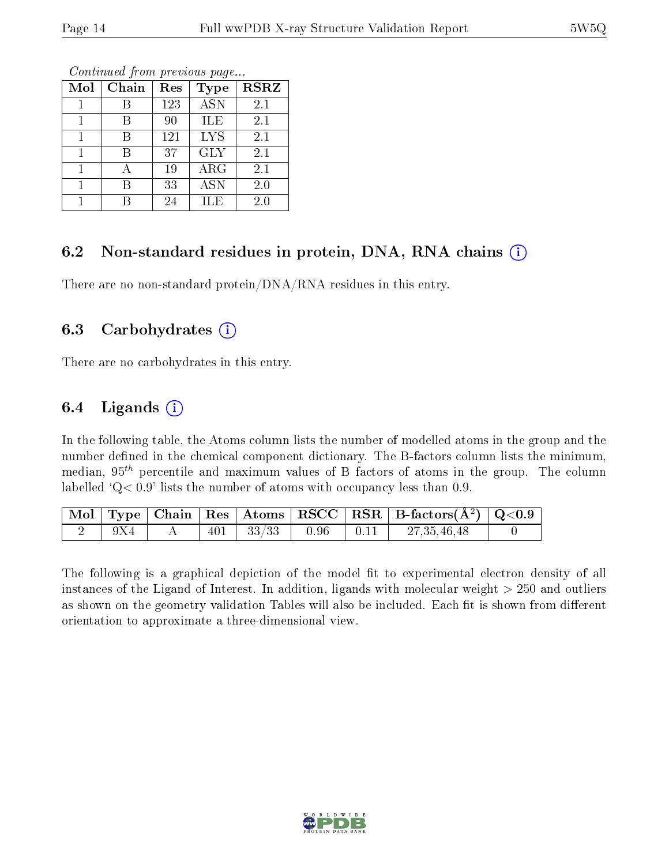| Mol | Chain | Res | <b>Type</b> | <b>RSRZ</b> |
|-----|-------|-----|-------------|-------------|
|     |       | 123 | <b>ASN</b>  | 2.1         |
|     | В     | 90  | <b>ILE</b>  | 2.1         |
|     |       | 121 | <b>LYS</b>  | 2.1         |
|     | В     | 37  | <b>GLY</b>  | 2.1         |
|     |       | 19  | ARG         | 2.1         |
|     | В     | 33  | <b>ASN</b>  | 2.0         |
|     |       | 24  | ILE         | 2.0         |

Continued from previous page...

### 6.2 Non-standard residues in protein, DNA, RNA chains  $(i)$

There are no non-standard protein/DNA/RNA residues in this entry.

#### 6.3 Carbohydrates  $(i)$

There are no carbohydrates in this entry.

#### 6.4 Ligands  $(i)$

In the following table, the Atoms column lists the number of modelled atoms in the group and the number defined in the chemical component dictionary. The B-factors column lists the minimum, median,  $95<sup>th</sup>$  percentile and maximum values of B factors of atoms in the group. The column labelled  $Q < 0.9$ ' lists the number of atoms with occupancy less than 0.9.

|       |  |                                   |  | $\boxed{\text{ Mol}}$ Type   Chain   Res   Atoms   RSCC   RSR   B-factors $(\AA^2)$   Q<0.9 |  |
|-------|--|-----------------------------------|--|---------------------------------------------------------------------------------------------|--|
| - 9X4 |  | $401$   $33/33$   $0.96$   $0.11$ |  | $\vert 27,35,46,48 \vert$                                                                   |  |

The following is a graphical depiction of the model fit to experimental electron density of all instances of the Ligand of Interest. In addition, ligands with molecular weight  $> 250$  and outliers as shown on the geometry validation Tables will also be included. Each fit is shown from different orientation to approximate a three-dimensional view.